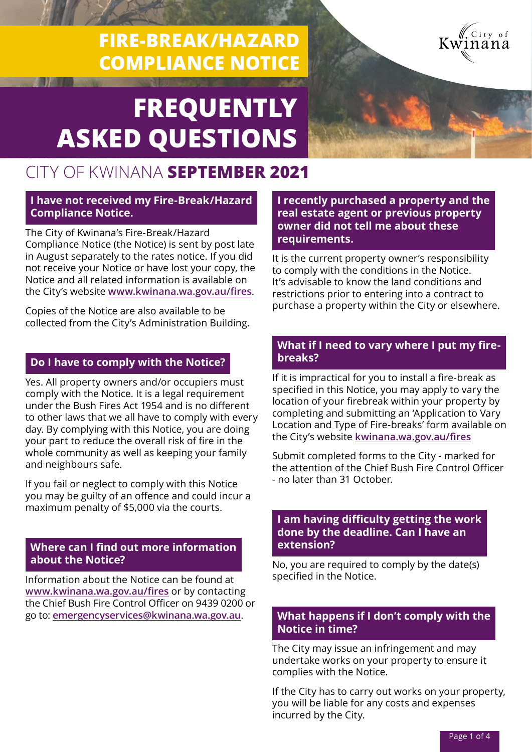# **FIRE-BREAK/HAZARD COMPLIANCE NOTICE**



# **FREQUENTLY ASKED QUESTIONS**

# CITY OF KWINANA **SEPTEMBER 2021**

#### **I have not received my Fire-Break/Hazard Compliance Notice.**

The City of Kwinana's Fire-Break/Hazard Compliance Notice (the Notice) is sent by post late in August separately to the rates notice. If you did not receive your Notice or have lost your copy, the Notice and all related information is available on the City's website **[www.kwinana.wa.gov.au/fires](http://www.kwinana.wa.gov.au/fires)**.

Copies of the Notice are also available to be collected from the City's Administration Building.

# **Do I have to comply with the Notice?**

Yes. All property owners and/or occupiers must comply with the Notice. It is a legal requirement under the Bush Fires Act 1954 and is no different to other laws that we all have to comply with every day. By complying with this Notice, you are doing your part to reduce the overall risk of fire in the whole community as well as keeping your family and neighbours safe.

If you fail or neglect to comply with this Notice you may be guilty of an offence and could incur a maximum penalty of \$5,000 via the courts.

## **Where can I find out more information about the Notice?**

Information about the Notice can be found at **<www.kwinana.wa.gov.au/fires>** or by contacting the Chief Bush Fire Control Officer on 9439 0200 or go to: **[emergencyservices@kwinana.wa.gov.au](mailto:emergencyservices@kwinana.wa.gov.au)**.

**I recently purchased a property and the real estate agent or previous property owner did not tell me about these requirements.**

It is the current property owner's responsibility to comply with the conditions in the Notice. It's advisable to know the land conditions and restrictions prior to entering into a contract to purchase a property within the City or elsewhere.

## **What if I need to vary where I put my firebreaks?**

If it is impractical for you to install a fire-break as specified in this Notice, you may apply to vary the location of your firebreak within your property by completing and submitting an 'Application to Vary Location and Type of Fire-breaks' form available on the City's website **kwinana.wa.gov.au/fires**

Submit completed forms to the City - marked for the attention of the Chief Bush Fire Control Officer - no later than 31 October.

#### **I am having difficulty getting the work done by the deadline. Can I have an extension?**

No, you are required to comply by the date(s) specified in the Notice.

## **What happens if I don't comply with the Notice in time?**

The City may issue an infringement and may undertake works on your property to ensure it complies with the Notice.

If the City has to carry out works on your property, you will be liable for any costs and expenses incurred by the City.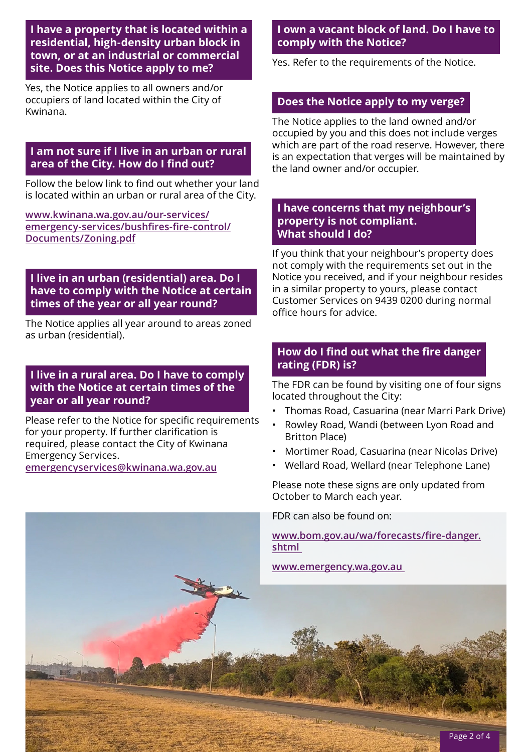**I have a property that is located within a residential, high-density urban block in town, or at an industrial or commercial site. Does this Notice apply to me?**

Yes, the Notice applies to all owners and/or occupiers of land located within the City of Kwinana.

## **I am not sure if I live in an urban or rural area of the City. How do I find out?**

Follow the below link to find out whether your land is located within an urban or rural area of the City.

**[www.kwinana.wa.gov.au/our-services/](https://www.kwinana.wa.gov.au/our-services/emergency-services/bushfires-fire-control/Documents/Zoning.pdf) [emergency-services/bushfires-fire-control/](https://www.kwinana.wa.gov.au/our-services/emergency-services/bushfires-fire-control/Documents/Zoning.pdf) [Documents/Zoning.pdf](https://www.kwinana.wa.gov.au/our-services/emergency-services/bushfires-fire-control/Documents/Zoning.pdf)**

#### **I live in an urban (residential) area. Do I have to comply with the Notice at certain times of the year or all year round?**

The Notice applies all year around to areas zoned as urban (residential).

## **I live in a rural area. Do I have to comply with the Notice at certain times of the year or all year round?**

Please refer to the Notice for specific requirements for your property. If further clarification is required, please contact the City of Kwinana Emergency Services.

**[emergencyservices@kwinana.wa.gov.au](mailto:emergencyservices@kwinana.wa.gov.au)**

# **I own a vacant block of land. Do I have to comply with the Notice?**

Yes. Refer to the requirements of the Notice.

# **Does the Notice apply to my verge?**

The Notice applies to the land owned and/or occupied by you and this does not include verges which are part of the road reserve. However, there is an expectation that verges will be maintained by the land owner and/or occupier.

#### **I have concerns that my neighbour's property is not compliant. What should I do?**

If you think that your neighbour's property does not comply with the requirements set out in the Notice you received, and if your neighbour resides in a similar property to yours, please contact Customer Services on 9439 0200 during normal office hours for advice.

# **How do I find out what the fire danger rating (FDR) is?**

The FDR can be found by visiting one of four signs located throughout the City:

- Thomas Road, Casuarina (near Marri Park Drive)
- Rowley Road, Wandi (between Lyon Road and Britton Place)
- Mortimer Road, Casuarina (near Nicolas Drive)
- Wellard Road, Wellard (near Telephone Lane)

Please note these signs are only updated from October to March each year.

FDR can also be found on:

**[www.bom.gov.au/wa/forecasts/fire-danger.](http://www.bom.gov.au/wa/forecasts/fire-danger.shtml) [shtml](http://www.bom.gov.au/wa/forecasts/fire-danger.shtml)**

**Steep** 

**[www.emergency.wa.gov.au](http://www.emergency.wa.gov.au)**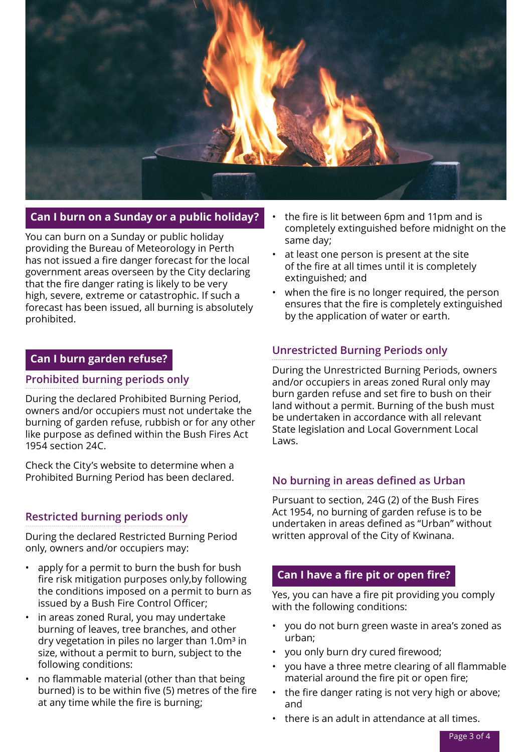

# **Can I burn on a Sunday or a public holiday?**

You can burn on a Sunday or public holiday providing the Bureau of Meteorology in Perth has not issued a fire danger forecast for the local government areas overseen by the City declaring that the fire danger rating is likely to be very high, severe, extreme or catastrophic. If such a forecast has been issued, all burning is absolutely prohibited.

## **Can I burn garden refuse?**

#### **Prohibited burning periods only**

During the declared Prohibited Burning Period, owners and/or occupiers must not undertake the burning of garden refuse, rubbish or for any other like purpose as defined within the Bush Fires Act 1954 section 24C.

Check the City's website to determine when a Prohibited Burning Period has been declared.

# **Restricted burning periods only**

During the declared Restricted Burning Period only, owners and/or occupiers may:

- apply for a permit to burn the bush for bush fire risk mitigation purposes only,by following the conditions imposed on a permit to burn as issued by a Bush Fire Control Officer;
- in areas zoned Rural, you may undertake burning of leaves, tree branches, and other dry vegetation in piles no larger than  $1.0<sup>m</sup>$  in size, without a permit to burn, subject to the following conditions:
- no flammable material (other than that being burned) is to be within five (5) metres of the fire at any time while the fire is burning;
- the fire is lit between 6pm and 11pm and is completely extinguished before midnight on the same day;
- at least one person is present at the site of the fire at all times until it is completely extinguished; and
- when the fire is no longer required, the person ensures that the fire is completely extinguished by the application of water or earth.

# **Unrestricted Burning Periods only**

During the Unrestricted Burning Periods, owners and/or occupiers in areas zoned Rural only may burn garden refuse and set fire to bush on their land without a permit. Burning of the bush must be undertaken in accordance with all relevant State legislation and Local Government Local Laws.

# **No burning in areas defined as Urban**

Pursuant to section, 24G (2) of the Bush Fires Act 1954, no burning of garden refuse is to be undertaken in areas defined as "Urban" without written approval of the City of Kwinana.

# **Can I have a fire pit or open fire?**

Yes, you can have a fire pit providing you comply with the following conditions:

- you do not burn green waste in area's zoned as urban;
- you only burn dry cured firewood;
- you have a three metre clearing of all flammable material around the fire pit or open fire;
- the fire danger rating is not very high or above; and
- there is an adult in attendance at all times.